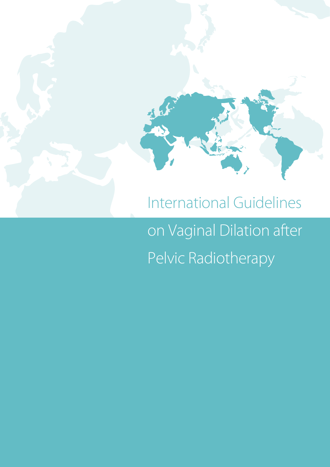

# on Vaginal Dilation after

Pelvic Radiotherapy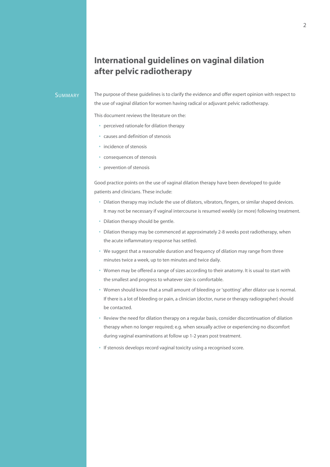## **International guidelines on vaginal dilation after pelvic radiotherapy**

#### **SUMMARY**

The purpose of these guidelines is to clarify the evidence and offer expert opinion with respect to the use of vaginal dilation for women having radical or adjuvant pelvic radiotherapy.

This document reviews the literature on the:

- **•** perceived rationale for dilation therapy
- **•** causes and definition of stenosis
- **•** incidence of stenosis
- **•** consequences of stenosis
- **•** prevention of stenosis

Good practice points on the use of vaginal dilation therapy have been developed to guide patients and clinicians. These include:

- **•** Dilation therapy may include the use of dilators, vibrators, fingers, or similar shaped devices. It may not be necessary if vaginal intercourse is resumed weekly (or more) following treatment.
- **•** Dilation therapy should be gentle.
- **•** Dilation therapy may be commenced at approximately 2-8 weeks post radiotherapy, when the acute inflammatory response has settled.
- **•** We suggest that a reasonable duration and frequency of dilation may range from three minutes twice a week, up to ten minutes and twice daily.
- **•** Women may be offered a range of sizes according to their anatomy. It is usual to start with the smallest and progress to whatever size is comfortable.
- **•** Women should know that a small amount of bleeding or 'spotting' after dilator use is normal. If there is a lot of bleeding or pain, a clinician (doctor, nurse or therapy radiographer) should be contacted.
- **•** Review the need for dilation therapy on a regular basis, consider discontinuation of dilation therapy when no longer required; e.g. when sexually active or experiencing no discomfort during vaginal examinations at follow up 1-2 years post treatment.
- **•** If stenosis develops record vaginal toxicity using a recognised score.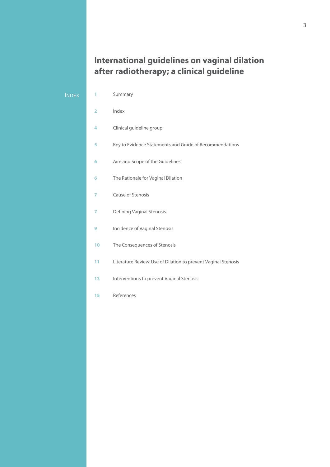# **International guidelines on vaginal dilation after radiotherapy; a clinical guideline**

#### **INDEX**

Summary

- Index
- Clinical guideline group
- Key to Evidence Statements and Grade of Recommendations
- Aim and Scope of the Guidelines
- The Rationale for Vaginal Dilation
- Cause of Stenosis
- Defining Vaginal Stenosis
- Incidence of Vaginal Stenosis
- The Consequences of Stenosis
- Literature Review: Use of Dilation to prevent Vaginal Stenosis
- 13 Interventions to prevent Vaginal Stenosis
- References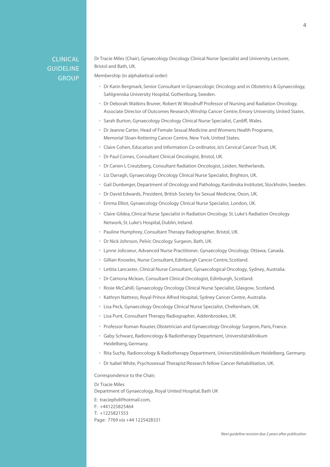### Clinical **GUIDELINE GROUP**

Dr Tracie Miles (Chair), Gynaecology Oncology Clinical Nurse Specialist and University Lecturer, Bristol and Bath, UK.

Membership (in alphabetical order)

- **•** Dr Karin Bergmark, Senior Consultant in Gynaecologic Oncology and in Obstetrics & Gynaecology, Sahlgrenska University Hospital, Gothenburg, Sweden.
- **•** Dr Deborah Watkins Bruner, Robert W. Woodruff Professor of Nursing and Radiation Oncology, Associate Director of Outcomes Research, Winship Cancer Centre, Emory University, United States.
- **•** Sarah Burton, Gynaecology Oncology Clinical Nurse Specialist, Cardiff, Wales.
- **•** Dr Jeanne Carter, Head of Female Sexual Medicine and Womens Health Programe, Memorial Sloan-Kettering Cancer Centre, New York, United States.
- **•** Claire Cohen, Education and Information Co-ordinator, Jo's Cervical Cancer Trust, UK.
- **•** Dr Paul Cornes, Consultant Clinical Oncologist, Bristol, UK.
- **•** Dr Carien L Creutzberg, Consultant Radiation Oncologist, Leiden, Netherlands.
- **•** Liz Darragh, Gynaecology Oncology Clinical Nurse Specialist, Brighton, UK.
- **•** Gail Dunberger, Department of Oncology and Pathology, Karolinska Institutet, Stockholm, Sweden.
- **•** Dr David Edwards, President, British Society for Sexual Medicine, Oxon, UK.
- **•** Emma Elliot, Gynaecology Oncology Clinical Nurse Specialist, London, UK.
- **•** Claire Gildea, Clinical Nurse Specialist in Radiation Oncology. St. Luke's Radiation Oncology Network, St. Luke's Hospital, Dublin, Ireland.
- **•** Pauline Humphrey, Consultant Therapy Radiographer, Bristol, UK.
- **•** Dr Nick Johnson, Pelvic Oncology Surgeon, Bath, UK.
- **•** Lynne Jolicoeur, Advanced Nurse Practitioner, Gynaecology Oncology, Ottawa, Canada.
- **•** Gillian Knowles, Nurse Consultant, Edinburgh Cancer Centre, Scotland.
- **•** Letitia Lancaster, Clinical Nurse Consultant, Gynaecological Oncology, Sydney, Australia.
- **•** Dr Catriona Mclean, Consultant Clinical Oncologist, Edinburgh, Scotland.
- **•** Rosie McCahill, Gynaecology Oncology Clinical Nurse Specialist, Glasgow, Scotland.
- **•** Kathryn Nattress, Royal Prince Alfred Hospital, Sydney Cancer Centre, Australia.
- **•** Lisa Peck, Gynaecology Oncology Clinical Nurse Specialist, Cheltenham, UK.
- **•** Lisa Punt, Consultant Therapy Radiographer, Addenbrookes, UK.
- **•** Professor Roman Rouzier, Obstetrician and Gynaecology Oncology Surgeon, Paris, France.
- **•** Gaby Schwarz, Radioncology & Radiotherapy Department, Universitätsklinikum Heidelberg, Germany.
- **•** Rita Suchy, Radioncology & Radiotherapy Department, Universitätsklinikum Heidelberg, Germany.
- **•** Dr Isabel White, Psychosexual Therapist/Research fellow Cancer Rehabilitation, UK.

Correspondence to the Chair;

Dr Tracie Miles Department of Gynaecology, Royal United Hospital, Bath UK E: traciephd@hotmail.com, F: +441225825464 T: +1225821553 Page: 7769 *via* +44 1225428331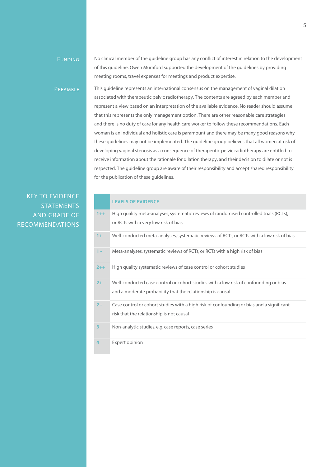#### **FUNDING**

No clinical member of the guideline group has any conflict of interest in relation to the development of this guideline. Owen Mumford supported the development of the guidelines by providing meeting rooms, travel expenses for meetings and product expertise.

**PREAMBLE** 

This guideline represents an international consensus on the management of vaginal dilation associated with therapeutic pelvic radiotherapy. The contents are agreed by each member and represent a view based on an interpretation of the available evidence. No reader should assume that this represents the only management option. There are other reasonable care strategies and there is no duty of care for any health care worker to follow these recommendations. Each woman is an individual and holistic care is paramount and there may be many good reasons why these guidelines may not be implemented. The guideline group believes that all women at risk of developing vaginal stenosis as a consequence of therapeutic pelvic radiotherapy are entitled to receive information about the rationale for dilation therapy, and their decision to dilate or not is respected. The guideline group are aware of their responsibility and accept shared responsibility for the publication of these guidelines.

## Key to Evidence **STATEMENTS** And Grade of Recommendations

#### **LEVELS OF EVIDENCE**

| $1 + +$ | High quality meta-analyses, systematic reviews of randomised controlled trials (RCTs),<br>or RCTs with a very low risk of bias                     |
|---------|----------------------------------------------------------------------------------------------------------------------------------------------------|
| $1+$    | Well-conducted meta-analyses, systematic reviews of RCTs, or RCTs with a low risk of bias                                                          |
| $1 -$   | Meta-analyses, systematic reviews of RCTs, or RCTs with a high risk of bias                                                                        |
| $2 + +$ | High quality systematic reviews of case control or cohort studies                                                                                  |
| $2+$    | Well-conducted case control or cohort studies with a low risk of confounding or bias<br>and a moderate probability that the relationship is causal |
| $2 -$   | Case control or cohort studies with a high risk of confounding or bias and a significant<br>risk that the relationship is not causal               |
| 3       | Non-analytic studies, e.g. case reports, case series                                                                                               |
| 4       | Expert opinion                                                                                                                                     |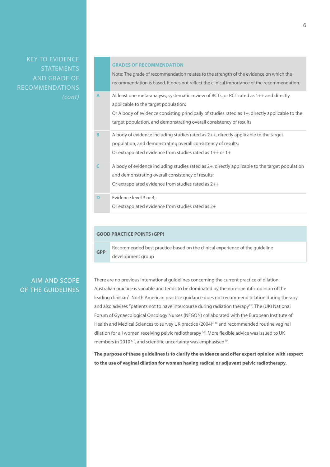Key to Evidence **STATEMENTS** And Grade of Recommendations

#### **GRADES OF RECOMMENDATION**

Note: The grade of recommendation relates to the strength of the evidence on which the recommendation is based. It does not reflect the clinical importance of the recommendation. **A** At least one meta-analysis, systematic review of RCTs, or RCT rated as 1++ and directly applicable to the target population; Or A body of evidence consisting principally of studies rated as 1+, directly applicable to the

- target population, and demonstrating overall consistency of results
- **B** A body of evidence including studies rated as 2++, directly applicable to the target population, and demonstrating overall consistency of results; Or extrapolated evidence from studies rated as 1++ or 1+
- **C** A body of evidence including studies rated as 2+, directly applicable to the target population and demonstrating overall consistency of results; Or extrapolated evidence from studies rated as 2++
- **D** Evidence level 3 or 4; Or extrapolated evidence from studies rated as 2+

#### **GOOD PRACTICE POINTS (GPP)**

**GPP** Recommended best practice based on the clinical experience of the guideline development group

## AIM AND SCOPE OF THE GUIDELINES

There are no previous international guidelines concerning the current practice of dilation. Australian practice is variable and tends to be dominated by the non-scientific opinion of the leading clinician<sup>1</sup>. North American practice guidance does not recommend dilation during therapy and also advises "patients not to have intercourse during radiation therapy"<sup>2</sup>. The (UK) National Forum of Gynaecological Oncology Nurses (NFGON) collaborated with the European Institute of Health and Medical Sciences to survey UK practice (2004)<sup>3,10</sup> and recommended routine vaginal dilation for all women receiving pelvic radiotherapy<sup>4,5</sup>. More flexible advice was issued to UK members in 2010<sup>6,7</sup>, and scientific uncertainty was emphasised<sup>10</sup>.

**The purpose of these guidelines is to clarify the evidence and offer expert opinion with respect to the use of vaginal dilation for women having radical or adjuvant pelvic radiotherapy.**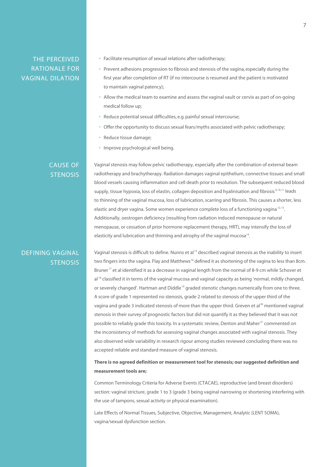## THE PERCEIVED RATIONALE FOR VAGINAL DILATION

- **•** Facilitate resumption of sexual relations after radiotherapy;
- **•** Prevent adhesions progression to fibrosis and stenosis of the vagina, especially during the first year after completion of RT (if no intercourse is resumed and the patient is motivated to maintain vaginal patency);
- **•** Allow the medical team to examine and assess the vaginal vault or cervix as part of on-going medical follow up;
- **•** Reduce potential sexual difficulties, e.g. painful sexual intercourse;
- **•** Offer the opportunity to discuss sexual fears/myths associated with pelvic radiotherapy;
- **•** Reduce tissue damage;
- **•** Improve psychological well being.

#### CAUSE OF **STENOSIS**

Vaginal stenosis may follow pelvic radiotherapy, especially after the combination of external beam radiotherapy and brachytherapy. Radiation damages vaginal epithelium, connective tissues and small blood vessels causing inflammation and cell death prior to resolution. The subsequent reduced blood supply, tissue hypoxia, loss of elastin, collagen deposition and hyalinisation and fibrosis<sup>9, 10, 11</sup> leads to thinning of the vaginal mucosa, loss of lubrication, scarring and fibrosis. This causes a shorter, less elastic and dryer vagina. Some women experience complete loss of a functioning vagina<sup>12,13</sup>. Additionally, oestrogen deficiency (resulting from radiation induced menopause or natural menopause, or cessation of prior hormone replacement therapy, HRT), may intensify the loss of elasticity and lubrication and thinning and atrophy of the vaginal mucosa<sup>14</sup>.

## DEFINING VAGINAL **STENOSIS**

Vaginal stenosis is difficult to define. Nunns et al 15 described vaginal stenosis as the inability to insert two fingers into the vagina. Flay and Matthews<sup>16</sup> defined it as shortening of the vagina to less than 8cm. Bruner<sup>17</sup> et al identified it as a decrease in vaginal length from the normal of 8-9 cm while Schover et al<sup>18</sup> classified it in terms of the vaginal mucosa and vaginal capacity as being 'normal, mildly changed, or severely changed'. Hartman and Diddle<sup>19</sup> graded stenotic changes numerically from one to three. A score of grade 1 represented no stenosis, grade 2 related to stenosis of the upper third of the vagina and grade 3 indicated stenosis of more than the upper third. Greven et al<sup>20</sup> mentioned vaginal stenosis in their survey of prognostic factors but did not quantify it as they believed that it was not possible to reliably grade this toxicity. In a systematic review, Denton and Maher<sup>21</sup> commented on the inconsistency of methods for assessing vaginal changes associated with vaginal stenosis. They also observed wide variability in research rigour among studies reviewed concluding there was no accepted reliable and standard measure of vaginal stenosis.

#### **There is no agreed definition or measurement tool for stenosis; our suggested definition and measurement tools are;**

Common Terminology Criteria for Adverse Events (CTACAE), reproductive (and breast disorders) section: vaginal stricture, grade 1 to 3 (grade 3 being vaginal narrowing or shortening interfering with the use of tampons, sexual activity or physical examination).

Late Effects of Normal Tissues, Subjective, Objective, Management, Analytic (LENT SOMA), vagina/sexual dysfunction section.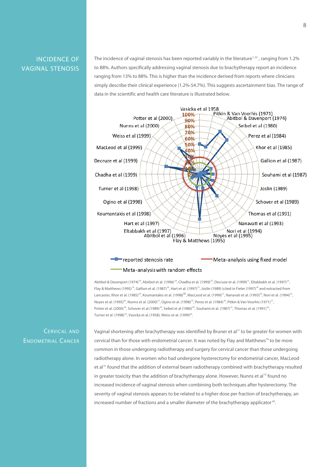INCIDENCE OF VAGINAL STENOSIS

The incidence of vaginal stenosis has been reported variably in the literature<sup>1,22</sup>, ranging from 1.2% to 88%. Authors specifically addressing vaginal stenosis due to brachytherapy report an incidence ranging from 13% to 88%. This is higher than the incidence derived from reports where clinicians simply describe their clinical experience (1.2%-54.7%). This suggests ascertainment bias. The range of data in the scientific and health care literature is illustrated below.



#### Meta-analysis with random effects

Abitbol & Davenport (1974)<sup>24</sup>, Abitbol et al. (1996)<sup>24</sup>, Chadha et al. (1999)<sup>25</sup>, Decruze et al. (1999)<sup>12</sup>, Eltabbakh et al. (1997)<sup>23</sup>, Flay & Matthews (1995)<sup>16</sup>, Gallion et al. (1987)<sup>26</sup>, Hart et al. (1997)<sup>27</sup>, Joslin (1989) (cited in Fieler (1997)<sup>28</sup> and extracted from Lancaster, Khor et al. (1985)<sup>29</sup>, Koumantakis et al. (1998)<sup>30</sup>, MacLeod et al. (1999)<sup>31</sup>, Nanavati et al. (1993)<sup>36</sup>, Nori et al. (1994)<sup>33</sup>, Noyes et al. (1995)<sup>34</sup>, Nunns et al. (2000)<sup>15</sup>, Ogino et al. (1998)<sup>35</sup>, Perez et al. (1984)<sup>36</sup>, Pitkin & Van Voorhis (1971)<sup>37</sup>, Potter et al. (2000)<sup>38</sup>, Schover et al (1989)<sup>39</sup>, Seibel et al (1980)<sup>40</sup>, Souhami et al. (1987)<sup>41</sup>, Thomas et al. (1991)<sup>42</sup>, Turner et al. (1998)<sup>43</sup>, Vasicka et al. (1958), Weiss et al. (1999)<sup>44</sup>.

Cervical and Endometrial Cancer Vaginal shortening after brachytherapy was identified by Bruner et al<sup>17</sup> to be greater for women with cervical than for those with endometrial cancer. It was noted by Flay and Matthews<sup>16</sup> to be more common in those undergoing radiotherapy and surgery for cervical cancer than those undergoing radiotherapy alone. In women who had undergone hysterectomy for endometrial cancer, MacLeod et al<sup>31</sup> found that the addition of external beam radiotherapy combined with brachytherapy resulted in greater toxicity than the addition of brachytherapy alone. However, Nunns et al<sup>15</sup> found no increased incidence of vaginal stenosis when combining both techniques after hysterectomy. The severity of vaginal stenosis appears to be related to a higher dose per fraction of brachytherapy, an increased number of fractions and a smaller diameter of the brachytherapy applicator<sup>45</sup>.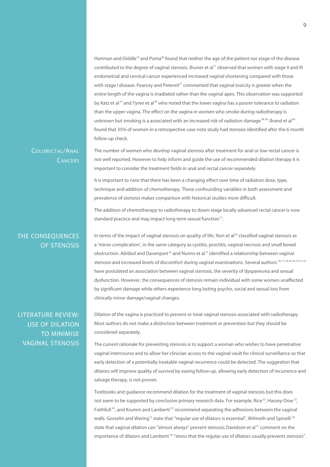Hartman and Diddle<sup>19</sup> and Poma<sup>46</sup> found that neither the age of the patient nor stage of the disease contributed to the degree of vaginal stenosis. Bruner et al<sup>17</sup> observed that women with stage II and III endometrial and cervical cancer experienced increased vaginal shortening compared with those with stage I disease. Pearcey and Petereit<sup>47</sup> commented that vaginal toxicity is greater when the entire length of the vagina is irradiated rather than the vaginal apex. This observation was supported by Katz et al<sup>10</sup> and Tyree et al<sup>48</sup> who noted that the lower vagina has a poorer tolerance to radiation than the upper vagina. The effect on the vagina in women who smoke during radiotherapy is unknown but smoking is a associated with an increased risk of radiation damage<sup>49,50</sup>. Brand et al<sup>64</sup> found that 35% of women in a retrospective case note study had stenosis identified after the 6 month follow up check.

#### Colorectal/Anal **CANCERS**

The number of women who develop vaginal stenosis after treatment for anal or low rectal cancer is not well reported. However to help inform and guide the use of recommended dilation therapy it is important to consider the treatment fields in anal and rectal cancer separately.

It is important to note that there has been a changing effect over time of radiation dose, type, technique and addition of chemotherapy. These confounding variables in both assessment and prevalence of stenosis makes comparison with historical studies more difficult.

The addition of chemotherapy to radiotherapy to down-stage locally advanced rectal cancer is now standard practice and may impact long term sexual function<sup>77</sup>.

## THE CONSEQUENCES OF STENOSIS

In terms of the impact of vaginal stenosis on quality of life, Nori et al<sup>33</sup> classified vaginal stenosis as a 'minor complication', in the same category as cystitis, proctitis, vaginal necrosis and small bowel obstruction. Abitbol and Davenport<sup>24</sup> and Nunns et al<sup>15</sup> identified a relationship between vaginal stenosis and increased levels of discomfort during vaginal examinations. Several authors 16, 17, 18, 24, 25, 37, 51, 52 have postulated an association between vaginal stenosis, the severity of dyspareunia and sexual dysfunction. However, the consequences of stenosis remain individual with some women unaffected by significant damage while others experience long lasting psycho, social and sexual loss from clinically minor damage/vaginal changes.

LITERATURE REVIEW: USE OF DILATION TO MINIMISE VAGINAL STENOSIS Dilation of the vagina is practiced to prevent or treat vaginal stenosis associated with radiotherapy. Most authors do not make a distinction between treatment or prevention but they should be considered separately.

The current rationale for preventing stenosis is to support a woman who wishes to have penetrative vaginal intercourse and to allow her clinician access to the vaginal vault for clinical surveillance so that early detection of a potentially treatable vaginal recurrence could be detected. The suggestion that dilators will improve quality of survival by easing follow-up, allowing early detection of recurrence and salvage therapy, is not proven.

Textbooks and guidance recommend dilation for the treatment of vaginal stenosis but this does not seem to be supported by conclusive primary research data. For example, Rice<sup>52</sup>, Hassey-Dow<sup>53</sup>, Faithfull<sup>54</sup>, and Krumm and Lamberti<sup>55</sup> recommend separating the adhesions between the vaginal walls. Gosselin and Waring<sup>13</sup> state that "regular use of dilators is essential", Wilmoth and Spinelli <sup>56</sup> state that vaginal dilation can "almost always" prevent stenosis; Davidson et al<sup>57</sup> comment on the importance of dilators and Lamberti 58 "stress that the regular use of dilators usually prevents stenosis".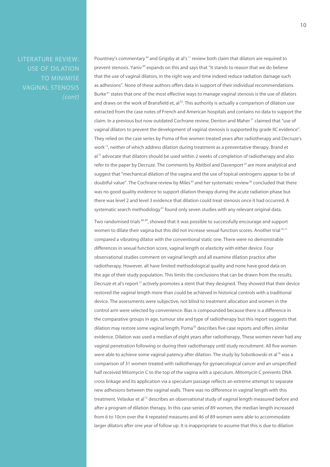LITERATURE REVIEW: USE OF DILATION TO MINIMISE VAGINAL STENOSIS Pountney's commentary<sup>59</sup> and Grigsby at al's<sup>11</sup> review both claim that dilators are required to prevent stenosis. Yaniv 60 expands on this and says that "it stands to reason that we do believe that the use of vaginal dilators, in the right way and time indeed reduce radiation damage such as adhesions". None of these authors offers data in support of their individual recommendations. Burke<sup>61</sup> states that one of the most effective ways to manage vaginal stenosis is the use of dilators and draws on the work of Bransfield et, al  $62$ . This authority is actually a comparison of dilation use extracted from the case notes of French and American hospitals and contains no data to support the claim. In a previous but now outdated Cochrane review, Denton and Maher<sup>21</sup> claimed that "use of vaginal dilators to prevent the development of vaginal stenosis is supported by grade IIC evidence". They relied on the case series by Poma of five women treated years after radiotherapy and Decruze's work<sup>12</sup>, neither of which address dilation during treatment as a preventative therapy. Brand et al<sup>72</sup> advocate that dilators should be used within 2 weeks of completion of radiotherapy and also refer to the paper by Decruze. The comments by Abitbol and Davenport<sup>24</sup> are more analytical and suggest that "mechanical dilation of the vagina and the use of topical oestrogens appear to be of doubtful value". The Cochrane review by Miles<sup>65</sup> and her systematic review<sup>66</sup> concluded that there was no good quality evidence to support dilation therapy during the acute radiation phase but there was level 2 and level 3 evidence that dilation could treat stenosis once it had occurred. A systematic search methodology<sup>67</sup> found only seven studies with any relevant original data.

Two randomised trials <sup>68, 69</sup>, showed that it was possible to successfully encourage and support women to dilate their vagina but this did not increase sexual function scores. Another trial<sup>70,71</sup> compared a vibrating dilator with the conventional static one. There were no demonstrable differences in sexual function score, vaginal length or elasticity with either device. Four observational studies comment on vaginal length and all examine dilation practice after radiotherapy. However, all have limited methodological quality and none have good data on the age of their study population. This limits the conclusions that can be drawn from the results. Decruze et al's report<sup>12</sup> actively promotes a stent that they designed. They showed that their device restored the vaginal length more than could be achieved in historical controls with a traditional device. The assessments were subjective, not blind to treatment allocation and women in the control arm were selected by convenience. Bias is compounded because there is a difference in the comparative groups in age, tumour site and type of radiotherapy but this report suggests that dilation may restore some vaginal length. Poma<sup>63</sup> describes five case reports and offers similar evidence. Dilation was used a median of eight years after radiotherapy. These women never had any vaginal penetration following or during their radiotherapy until study recruitment. All five women were able to achieve some vaginal patency after dilation. The study by Sobotkowski et al<sup>78</sup> was a comparison of 31 women treated with radiotherapy for gynaecological cancer and an unspecified half received Mitomycin C to the top of the vagina with a speculum. Mitomycin C prevents DNA cross linkage and its application via a speculum passage reflects an extreme attempt to separate new adhesions between the vaginal walls. There was no difference in vaginal length with this treatment. Velaskar et al<sup>72</sup> describes an observational study of vaginal length measured before and after a program of dilation therapy. In this case-series of 89 women, the median length increased from 6 to 10cm over the 4 repeated measures and 46 of 89 women were able to accommodate larger dilators after one year of follow up. It is inappropriate to assume that this is due to dilation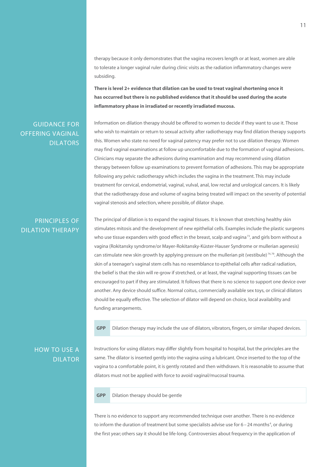therapy because it only demonstrates that the vagina recovers length or at least, women are able to tolerate a longer vaginal ruler during clinic visits as the radiation inflammatory changes were subsiding.

**There is level 2+ evidence that dilation can be used to treat vaginal shortening once it has occurred but there is no published evidence that it should be used during the acute inflammatory phase in irradiated or recently irradiated mucosa.**

## GUIDANCE FOR OFFERING VAGINAL DILATORS

Information on dilation therapy should be offered to women to decide if they want to use it. Those who wish to maintain or return to sexual activity after radiotherapy may find dilation therapy supports this. Women who state no need for vaginal patency may prefer not to use dilation therapy. Women may find vaginal examinations at follow up uncomfortable due to the formation of vaginal adhesions. Clinicians may separate the adhesions during examination and may recommend using dilation therapy between follow up examinations to prevent formation of adhesions. This may be appropriate following any pelvic radiotherapy which includes the vagina in the treatment. This may include treatment for cervical, endometrial, vaginal, vulval, anal, low rectal and urological cancers. It is likely that the radiotherapy dose and volume of vagina being treated will impact on the severity of potential vaginal stenosis and selection, where possible, of dilator shape.

#### PRINCIPLES OF DILATION THERAPY

The principal of dilation is to expand the vaginal tissues. It is known that stretching healthy skin stimulates mitosis and the development of new epithelial cells. Examples include the plastic surgeons who use tissue expanders with good effect in the breast, scalp and vagina<sup>73</sup>, and girls born without a vagina (Rokitansky syndrome/or Mayer-Rokitansky-Küster-Hauser Syndrome or mullerian agenesis) can stimulate new skin growth by applying pressure on the mullerian pit (vestibule)<sup>74,79</sup>. Although the skin of a teenager's vaginal stem cells has no resemblance to epithelial cells after radical radiation, the belief is that the skin will re-grow if stretched, or at least, the vaginal supporting tissues can be encouraged to part if they are stimulated. It follows that there is no science to support one device over another. Any device should suffice. Normal coitus, commercially available sex toys, or clinical dilators should be equally effective. The selection of dilator will depend on choice, local availability and funding arrangements.

**GPP** Dilation therapy may include the use of dilators, vibrators, fingers, or similar shaped devices.

## HOW TO USE A DILATOR

Instructions for using dilators may differ slightly from hospital to hospital, but the principles are the same. The dilator is inserted gently into the vagina using a lubricant. Once inserted to the top of the vagina to a comfortable point, it is gently rotated and then withdrawn. It is reasonable to assume that dilators must not be applied with force to avoid vaginal/mucosal trauma.

**GPP** Dilation therapy should be gentle

There is no evidence to support any recommended technique over another. There is no evidence to inform the duration of treatment but some specialists advise use for  $6-24$  months<sup>4</sup>, or during the first year; others say it should be life-long. Controversies about frequency in the application of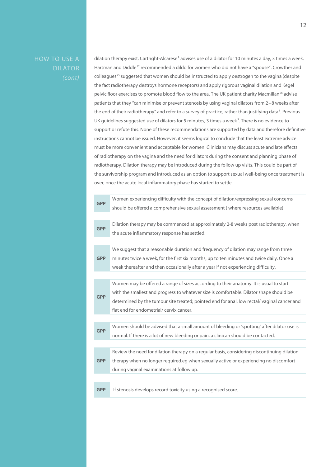HOW TO USE A

dilation therapy exist. Cartright-Alcarese<sup>9</sup> advises use of a dilator for 10 minutes a day, 3 times a week. Hartman and Diddle<sup>19</sup> recommended a dildo for women who did not have a "spouse". Crowther and colleagues 75 suggested that women should be instructed to apply oestrogen to the vagina (despite the fact radiotherapy destroys hormone receptors) and apply rigorous vaginal dilation and Kegel pelvic floor exercises to promote blood flow to the area. The UK patient charity Macmillan<sup>76</sup> advise patients that they "can minimise or prevent stenosis by using vaginal dilators from 2–8 weeks after the end of their radiotherapy" and refer to a survey of practice, rather than justifying data<sup>8</sup>. Previous UK guidelines suggested use of dilators for 5 minutes, 3 times a week<sup>5</sup>. There is no evidence to support or refute this. None of these recommendations are supported by data and therefore definitive instructions cannot be issued. However, it seems logical to conclude that the least extreme advice must be more convenient and acceptable for women. Clinicians may discuss acute and late effects of radiotherapy on the vagina and the need for dilators during the consent and planning phase of radiotherapy. Dilation therapy may be introduced during the follow up visits. This could be part of the survivorship program and introduced as an option to support sexual well-being once treatment is over, once the acute local inflammatory phase has started to settle.

| <b>GPP</b> | Women experiencing difficulty with the concept of dilation/expressing sexual concerns       |
|------------|---------------------------------------------------------------------------------------------|
|            | should be offered a comprehensive sexual assessment (where resources available)             |
|            |                                                                                             |
| <b>GPP</b> | Dilation therapy may be commenced at approximately 2-8 weeks post radiotherapy, when        |
|            | the acute inflammatory response has settled.                                                |
|            |                                                                                             |
|            | We suggest that a reasonable duration and frequency of dilation may range from three        |
| <b>GPP</b> | minutes twice a week, for the first six months, up to ten minutes and twice daily. Once a   |
|            | week thereafter and then occasionally after a year if not experiencing difficulty.          |
|            |                                                                                             |
| <b>GPP</b> | Women may be offered a range of sizes according to their anatomy. It is usual to start      |
|            | with the smallest and progress to whatever size is comfortable. Dilator shape should be     |
|            | determined by the tumour site treated; pointed end for anal, low rectal/vaginal cancer and  |
|            | flat end for endometrial/ cervix cancer.                                                    |
|            |                                                                                             |
|            | Women should be advised that a small amount of bleeding or 'spotting' after dilator use is  |
| <b>GPP</b> | normal. If there is a lot of new bleeding or pain, a clinican should be contacted.          |
|            |                                                                                             |
| <b>GPP</b> | Review the need for dilation therapy on a regular basis, considering discontinuing dilation |
|            | therapy when no longer required.eg when sexually active or experiencing no discomfort       |
|            | during vaginal examinations at follow up.                                                   |
|            |                                                                                             |
| <b>GPP</b> | If stenosis develops record toxicity using a recognised score.                              |
|            |                                                                                             |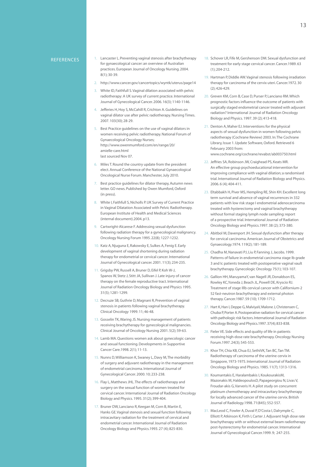- 1. Lancaster L. Preventing vaginal stenosis after brachytherapy for gynaecological cancer: an overview of Australian practices. European Journal of Oncology Nursing. 2004. 8(1); 30-39.
- 2. http://www.cancer.gov/cancertopics/wyntk/uterus/page14
- 3. White ID, Faithfull S. Vaginal dilation associated with pelvic radiotherapy: A UK survey of current practice. International Journal of Gynecological Cancer. 2006. 16(3); 1140-1146.
- Jefferies H, Hoy S, McCahill R, Crichton A. Guidelines on vaginal dilator use after pelvic radiotherapy. Nursing Times. 2007. 103(30); 28-29.
- Best Practice guidelines on the use of vaginal dilators in women receiving pelvic radiotherapy. National Forum of Gynaecological Oncology Nurses; http://www.owenmumford.com/en/range/20/ amielle-care.html last sourced Nov 07.
- 6. Miles T. Round the country update from the president elect. Annual Conference of the National Gynaecological Oncological Nurse Forum. Manchester, July 2010.
- Best practice guidelines for dilator therapy, Autumn news letter. GO news. Published by Owen Mumford, Oxford (in press).
- White I, Faithfull S, Nicholls P. UK Survey of Current Practice in Vaginal Dilatation Associated with Pelvic Radiotherapy. European Institute of Health and Medical Sciences (internal document).2004. p13.
- 9. Cartwright-Alcarese F. Addressing sexual dysfunction following radiation therapy for a gynecological malignancy. Oncology Nursing Forum 1995. 22(8); 1227-1232.
- 10. Katz A, Njuguna E, Rakowsky E, Sulkes A, Fenig E. Early development of vaginal shortening during radiation therapy for endometrial or cervical cancer. International Journal of Gynecological cancer. 2001. 11(3); 234-235.
- 11. Grigsby PW, Russell A, Bruner D, Eifel P, Koh W-J, Spanos W, Stetz J, Stitt JA, Sullivan J. Late injury of cancer therapy on the female reproductive tract. International Journal of Radiation Oncology Biology and Physics 1995. 31(5); 1281-1299.
- 12. Decruze SB, Guthrie D, Magnani R, Prevention of vaginal stenosis in patients following vaginal brachytherapy. Clinical Oncology 1999. 11; 46-48.
- 13. Gosselin TK, Waring JS. Nursing management of patients receiving brachytherapy for gynecological malignancies. Clinical Journal of Oncology Nursing 2001. 5(2); 59-63.
- 14. Lamb MA. Questions women ask about gynecologic cancer and sexual functioning. Developments in Supportive Cancer Care.1998. 2(1); 11-13.
- 15. Nunns D, Williamson K, Swaney L, Davy M, The morbidity of surgery and adjuvant radiotherapy in the management of endometrial carcinoma. International Journal of Gynecological Cancer. 2000. 10; 233-238.
- 16. Flay L, Matthews JHL. The effects of radiotherapy and surgery on the sexual function of women treated for cervical cancer. International Journal of Radiation Oncology Biology and Physics. 1995. 31(2); 399-404.
- 17. Bruner DW, Lanciano R, Keegan M, Corn B, Martin E, Hanks GE. Vaginal stenosis and sexual function following intracavitary radiation for the treatment of cervical and endometrial cancer. International Journal of Radiation Oncology Biology and Physics.1993. 27 (4); 825-830.
- 18. Schover LR, Fife M, Gershenson DM. Sexual dysfunction and treatment for early stage cervical cancer. Cancer.1989. 63 (1); 204-212.
- 19. Hartman P, Diddle AW. Vaginal stenosis following irradiation therapy for carcinoma of the cervix uteri. Cancer.1972. 30 (2); 426-429.
- 20. Greven KM, Corn B, Case D, Purser P, Lanciano RM. Which prognostic factors influence the outcome of patients with surgically staged endometrial cancer treated with adjuvant radiation? International Journal of Radiation Oncology Biology and Physics. 1997. 39 (2); 413-418.
- 21. Denton A, Maher EJ. Interventions for the physical aspects of sexual dysfunction in women following pelvic radiotherapy (Cochrane Review) 2003. In: The Cochrane Library, Issue 1. Update Software, Oxford. Retrieved 6 February 2003 from:
	- www.cochrane.org/cochrane/revabst/ab003750.html
- 22. Jeffries SA, Robinson JW, Craighead PS, Keats MR. An effective group psychoeducational intervention for improving compliance with vaginal dilation; a randomised trial. International Journal of Radiation Biology and Physics. 2006. 6 (4); 404-411.
- 23. Eltabbakh H, Piver MS, Hempling RE, Shin KH. Excellent long term survival and absence of vaginal recurrences in 332 patients with low risk stage I endometrial adenocarcinoma treated with hysterectomy and vaginal brachytherapy without formal staging lymph node sampling: report of a prospective trial. International Journal of Radiation Oncology Biology and Physics.1997. 38 (2); 373-380.
- 24. Abitbol M, Davenport JH. Sexual dysfunction after therapy for cervical carcinoma. American Journal of Obstetrics and Gynaecology.1974. 119(2); 181-189.
- 25. Chadha M, Nanavati PJ, Liu P, Fanning J, Jacobs. 1999. Patterns of failure in endometrial carcinoma stage Ib grade 3 and Ic patients treated with postoperative vaginal vault brachytherapy. Gynecologic Oncology 75(1); 103-107.
- 26. Gallion HH, MaruyamaY, van Nagell JR, Donaldson ES, Rowley KC,Yoneda J, Beach JL, Powell DE, Kryscio RJ. Treatment of stage Illb cervical cancer with Californium-2 52 fast-neutron brachytherapy and external photon therapy. Cancer.1987. 59 (10); 1709-1712.
- 27. Hart K, Han I, Deppe G, MalviyaV, Malone J, Christensen C, Chuba P, Porter A. Postoperative radiation for cervical cancer with pathologic risk factors. International Journal of Radiation Oncology Biology and Physics.1997. 37(4); 833-838.
- 28. Fieler VE. Side effects and quality of life in patients receiving high-dose rate brachytherapy. Oncology Nursing Forum.1997. 24(3); 545-553.
- 29. Khor TH, Chia KB, Chua EJ, SethiVK, Tan BC, Tan TM. Radiotherapy of carcinoma of the uterine cervix in Singapore, 1973-1975. International Journal of Radiation Oncology Biology and Physics. 1985. 11(7); 1313-1316.
- 30. Koumantakis E, Haralambakis I, KoukourakisM, Mazonakis M, HaldeopoulosD, Papageorgiou N, Livas V, Froudar-akis G, Varveris H. A pilot study on concurrent platinum chemotherapy and intracavitary brachytherapy for locally advanced cancer of the uterine cervix. British Journal of Radiology.1998. 71(845); 552-557.
- 31. MacLeod C, Fowler A, Duval P, D'Costa I, Dalrymple C, Elliott P, Atkinson K, Firth I, Carter J. Adjuvant high dose rate brachytherapy with or without external beam radiotherapy post-hysterectomy for endometrial cancer. International Journal of Gynecological Cancer.1999. 9; 247-255.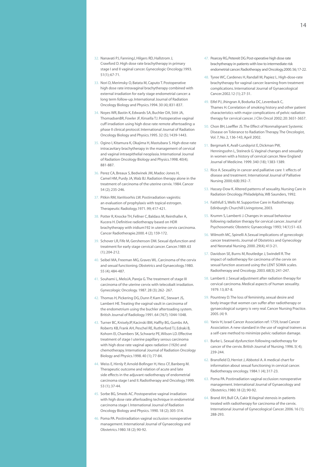- 32. Nanavati PJ, FanningJ, Hilgers RD, Hallstrom J, Crawford D. High dose rate brachytherapy in primary stage I and II vaginal cancer. Gynecologic Oncology.1993. 51(1); 67-71.
- 33. Nori D, Merimsky O, Batata M, Caputo T. Postoperative high dose rate intravaginal brachytherapy combined with external irradiation for early stage endometrial cancer: a long term follow-up. International Journal of Radiation Oncology Biology and Physics.1994. 30 (4); 831-837.
- 34. Noyes WR, Bastin K, Edwards SA, Buchler DA, Stitt JA, ThomadsenBR, Fowler JF, Kinsella TJ. Postoperative vaginal cuff irradiation using high dose rate remote aftertoading: a phase II clinical protocol. International Journal of Radiation Oncology Biology and Physics.1995. 32 (5); 1439-1443.
- 35. Ogino I, Kitamura K, Okajima H, Mastubara S. High-dose-rate intracavitary brachytherapy in the management of cervical and vaginal intraepithelial neoplasia. International Journal of Radiation Oncology Biology and Physics.1998. 40(4); 881-887.
- 36. Perez CA, Breaux S, Bedwinek JM, Madoc-Jones H, Camel HM, Purdy JA, Walz BJ. Radiation therapy alone in the treatment of carcinoma of the uterine cervix. 1984. Cancer 54 (2); 235-246.
- 37. Pitkin RM, VanVoorhis LW. Postirradiation vaginitis: an evaluation of prophylaxis with topical estrogen. Therapeutic Radiology.1971. 99; 417-421.
- 38. Potter R, Knocke TH, Fellner C, Baldass M, Reinthaller A, Kucera H. Definitive radiotherapy based on HDR brachytherapy with iridium192 in uterine cervix carcinoma. Cancer Radiotherapie.2000. 4 (2); 159-172.
- 39. Schover LR, Fife M, Gershenson DM. Sexual dysfunction and treatment for early stage cervical cancer. Cancer.1989. 63 (1); 204-212.
- 40. Seibel MA, Freeman MG, Graves WL. Carcinoma of the cervix and sexual functioning. Obstetrics and Gynaecology.1980. 55 (4); 484-487.
- 41. Souhami L, MeloJA, Pareja G. The treatment of stage III carcinoma of the uterine cervix with telecobalt irradiation. Gynecologic Oncology. 1987. 28 (3); 262- 267.
- 42. Thomas H, Pickering DG, Dunn P, Kam KC, Stewart JS, Lambert HE. Treating the vaginal vault in carcinoma of the endometrium using the buchler aftertoading system. British Journal of Radiology.1991. 64 (767); 1044-1048.
- 43. Turner BC, KniselyJP, Kacinski BM, Haffty BG, Gumbs AA, Roberts KB, Frank AH, Peschel RE, Rutherford TJ, Edraki B, Kohorn EI, Chambers SK, Schwartz PE, Wilson LD. Effective treatment of stage I uterine papillary serous carcinoma with high dose rate vaginal apex radiation (192lr) and chemotherapy. International Journal of Radiation Oncology Biology and Physics.1998. 40 (1); 77-84.
- 44. Weiss E, Hirnly P, Arnold-Bofinger H, Hess CF, Banberg M. Therapeutic outcome and relation of acute and late side effects in the adjuvant radiotherapy of endometrial carcinoma stage I and II. Radiotherapy and Oncology.1999. 53 (1); 37-44.
- 45. Sorbe BG, Smeds AC. Postoperative vaginal irradiation with high dose rate afterloading technique in endometrial carcinoma stage I. International Journal of Radiation Oncology Biology and Physics. 1990. 18 (2); 305-314.
- 46. Poma PA. Postirradiation vaginal occlusion: nonoperative management. International Journal of Gynaecology and Obstetrics.1980.18 (2); 90-92.
- 47. Pearcey RG, Petereit DG. Post-operative high dose rate brachytherapy in patients with low to intermediate risk endometrial cancer. Radiotherapy and Oncology.2000. 56; 17-22.
- 48. Tyree WC, Cardenes H, Randall M, Papiez L. High-dose-rate brachytherapy for vaginal cancer: learning from treatment complications. International Journal of Gynaecological Cancer.2002.12 (1); 27-31.
- 49. Eifel PJ, Jhingran A, Bodurka DC, Levenback C, Thames H. Correlation of smoking history and other patient characteristics with major complications of pelvic radiation therapy for cervical cancer. J Clin Oncol 2002; 20: 3651-3657.
- 50. Chon BH, Loeffler JS. The Effect of Nonmalignant Systemic Disease on Tolerance to Radiation Therapy. The Oncologist, Vol. 7, No. 2, 136-143, April 2002.
- 51. Bergmark K, Avall-Lundqvist E, Dickman PW, Henningsohn L, Steineck G. Vaginal changes and sexuality in women with a history of cervical cancer. New England Journal of Medicine. 1999. 340 (18); 1383-1389.
- 52. Rice A. Sexuality in cancer and palliative care 1: effects of disease and treatment. International Journal of Palliative Nursing 2000; 6(8):392–7.
- 53. Hassey-Dow K. Altered patterns of sexuality. Nursing Care in Radiation Oncology. Philadelphia, WB Saunders, 1992.
- 54. Faithfull S, Wells M. Supportive Care in Radiotherapy. Edinburgh: Churchill Livingstone, 2003.
- 55. Krumm S, Lamberti J. Changes in sexual behaviour following radiation therapy for cervical cancer. Journal of Psychosomatic Obstetric Gynaecology 1993; 14(1):51–63.
- 56. Wilmoth MC, Spinelli A.Sexual implications of gynecologic cancer treatments. Journal of Obstetrics and Gynecology and Neonatal Nursing. 2000. 29(4); 413-21.
- 57. Davidson SE, Burns M, Routledge J, Swindell R. The impact of radiotherapy for carcinoma of the cervix on sexual function assessed using the LENT SOMA scales. Radiotherapy and Oncology. 2003. 68(3); 241-247.
- 58. Lamberti J. Sexual adjustment after radiation therapy for cervical carcinoma. Medical aspects of human sexuality. 1979. 13; 87-8.
- 59. Pountney D. The loss of femininity, sexual desire and body image that women can suffer after radiotherapy or gynaecological surgery is very real. Cancer Nursing Practice. 2005. (4) 9.
- 60. Yaniv H, Israel Cancer Association ref: 1759, Israel Cancer Association. A new standard in the use of vaginal trainers as a self-care method to minimize pelvic radiation damage.
- 61. Burke L. Sexual dysfunction following radiotherapy for cancer of the cervix. British Journal of Nursing. 1996. 5( 4); 239-244.
- 62. Bransfield D, Herriot J, Abbotol A. A medical chart for information about sexual functioning in cervical cancer. Radiotherapy oncology. 1984.1 (4); 317-23.
- 63. Poma PA. Postirradiation vaginal occlusion: nonoperative management. International Journal of Gynaecology and Obstetrics.1980.18 (2); 90-92.
- 64. Brand AH, Bull CA, Cakir B.Vaginal stenosis in patients treated with radiotherapy for carcinoma of the cervix. International Journal of Gynecological Cancer. 2006. 16 (1); 288-293.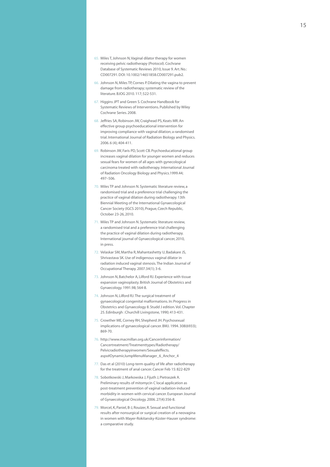- 65. Miles T, Johnson N, Vaginal dilator therapy for women receiving pelvic radiotherapy (Protocol). Cochrane Database of Systematic Reviews 2010, Issue 9. Art. No.: CD007291. DOI: 10.1002/14651858.CD007291.pub2.
- 66. Johnson N, Miles TP, Cornes P. Dilating the vagina to prevent damage from radiotherapy; systematic review of the literature. BJOG 2010. 117; 522-531.
- 67. Higgins JPT and Green S. Cochrane Handbook for Systematic Reviews of Interventions. Published by Wiley Cochrane Series. 2008.
- 68. Jeffries SA, Robinson JW, Craighead PS, Keats MR. An effective group psychoeducational intervention for improving compliance with vaginal dilation; a randomised trial. International Journal of Radiation Biology and Physics. 2006. 6 (4); 404-411.
- 69. Robinson JW, Faris PD, Scott CB. Psychoeducational group increases vaginal dilation for younger women and reduces sexual fears for women of all ages with gynecological carcinoma treated with radiotherapy. International Journal of Radiation Oncology Biology and Physics.1999.44; 497–506.
- 70. Miles TP and Johnson N. Systematic literature review, a randomised trial and a preference trial challenging the practice of vaginal dilation during radiotherapy. 13th Biennial Meeting of the International Gynaecological Cancer Society (IGCS 2010), Prague, Czech Republic, October 23-26, 2010.
- 71. Miles TP and Johnson N. Systematic literature review, a randomised trial and a preference trial challenging the practice of vaginal dilation during radiotherapy. International journal of Gynaecological cancer, 2010, in press.
- 72. Velaskar SM, Martha R, Mahantashetty U, Badakare JS, Shrivastava SK. Use of indigenous vaginal dilator in radiation induced vaginal stenosis. The Indian Journal of Occupational Therapy. 2007.34(1); 3-6.
- 73. Johnson N, Batchelor A, Lilford RJ. Experience with tissue expansion vaginoplasty. British Journal of Obstetrics and Gynaecology. 1991.98; 564-8.
- 74. Johnson N, Lilford RJ. The surgical treatment of gynaecological congenital malformations. In: Progress in Obstetrics and Gynaecology 8. Studd J edition. Vol. Chapter 25. Edinburgh : Churchill Livingstone, 1990; 413-431.
- 75. Crowther ME, Corney RH, Shepherd JH. Psychosexual implications of gynaecological cancer. BMJ. 1994. 308(6933); 869-70.
- 76. http://www.macmillan.org.uk/Cancerinformation/ Cancertreatment/Treatmenttypes/Radiotherapy/ Pelvicradiotherapyinwomen/Sexualeffects. aspx#DynamicJumpMenuManager\_6\_Anchor\_4
- 77. Das et al (2010) Long-term quality of life after radiotherapy for the treatment of anal cancer. Cancer Feb 15:822-829
- 78. Sobotkowski J, Markowska J, Fijuth J, Pietraszek A. Preliminary results of mitomycin C local application as post-treatment prevention of vaginal radiation-induced morbidity in women with cervical cancer. European Journal of Gynaecological Oncology. 2006. 27(4):356-8.
- 79. Morcel, K, Paniel, B-J, Rouizer, R. Sexual and functional results after nonsurgical or surgical creation of a neovagina in women with Mayer-Rokitansky-Küster-Hauser syndrome: a comparative study.